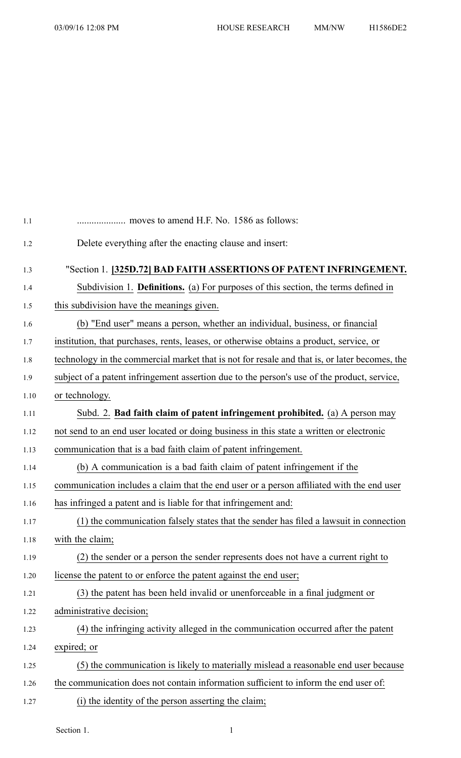| 1.1  |                                                                                               |
|------|-----------------------------------------------------------------------------------------------|
| 1.2  | Delete everything after the enacting clause and insert:                                       |
| 1.3  | "Section 1. [325D.72] BAD FAITH ASSERTIONS OF PATENT INFRINGEMENT.                            |
| 1.4  | Subdivision 1. <b>Definitions.</b> (a) For purposes of this section, the terms defined in     |
| 1.5  | this subdivision have the meanings given.                                                     |
| 1.6  | (b) "End user" means a person, whether an individual, business, or financial                  |
| 1.7  | institution, that purchases, rents, leases, or otherwise obtains a product, service, or       |
| 1.8  | technology in the commercial market that is not for resale and that is, or later becomes, the |
| 1.9  | subject of a patent infringement assertion due to the person's use of the product, service,   |
| 1.10 | or technology.                                                                                |
| 1.11 | Subd. 2. Bad faith claim of patent infringement prohibited. (a) A person may                  |
| 1.12 | not send to an end user located or doing business in this state a written or electronic       |
| 1.13 | communication that is a bad faith claim of patent infringement.                               |
| 1.14 | (b) A communication is a bad faith claim of patent infringement if the                        |
| 1.15 | communication includes a claim that the end user or a person affiliated with the end user     |
| 1.16 | has infringed a patent and is liable for that infringement and:                               |
| 1.17 | (1) the communication falsely states that the sender has filed a lawsuit in connection        |
| 1.18 | with the claim;                                                                               |
| 1.19 | (2) the sender or a person the sender represents does not have a current right to             |
| 1.20 | license the patent to or enforce the patent against the end user;                             |
| 1.21 | (3) the patent has been held invalid or unenforceable in a final judgment or                  |
| 1.22 | administrative decision;                                                                      |
| 1.23 | (4) the infringing activity alleged in the communication occurred after the patent            |
| 1.24 | expired; or                                                                                   |
| 1.25 | (5) the communication is likely to materially mislead a reasonable end user because           |
| 1.26 | the communication does not contain information sufficient to inform the end user of:          |
| 1.27 | (i) the identity of the person asserting the claim;                                           |

Section 1. 1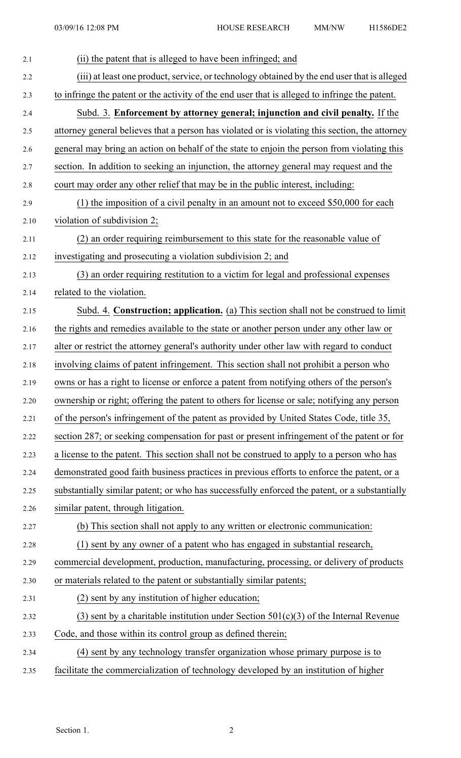| 2.1  | (ii) the patent that is alleged to have been infringed; and                                     |
|------|-------------------------------------------------------------------------------------------------|
| 2.2  | (iii) at least one product, service, or technology obtained by the end user that is alleged     |
| 2.3  | to infringe the patent or the activity of the end user that is alleged to infringe the patent.  |
| 2.4  | Subd. 3. Enforcement by attorney general; injunction and civil penalty. If the                  |
| 2.5  | attorney general believes that a person has violated or is violating this section, the attorney |
| 2.6  | general may bring an action on behalf of the state to enjoin the person from violating this     |
| 2.7  | section. In addition to seeking an injunction, the attorney general may request and the         |
| 2.8  | court may order any other relief that may be in the public interest, including:                 |
| 2.9  | (1) the imposition of a civil penalty in an amount not to exceed \$50,000 for each              |
| 2.10 | violation of subdivision 2;                                                                     |
| 2.11 | (2) an order requiring reimbursement to this state for the reasonable value of                  |
| 2.12 | investigating and prosecuting a violation subdivision 2; and                                    |
| 2.13 | (3) an order requiring restitution to a victim for legal and professional expenses              |
| 2.14 | related to the violation.                                                                       |
| 2.15 | Subd. 4. Construction; application. (a) This section shall not be construed to limit            |
| 2.16 | the rights and remedies available to the state or another person under any other law or         |
| 2.17 | alter or restrict the attorney general's authority under other law with regard to conduct       |
| 2.18 | involving claims of patent infringement. This section shall not prohibit a person who           |
| 2.19 | owns or has a right to license or enforce a patent from notifying others of the person's        |
| 2.20 | ownership or right; offering the patent to others for license or sale; notifying any person     |
| 2.21 | of the person's infringement of the patent as provided by United States Code, title 35,         |
| 2.22 | section 287; or seeking compensation for past or present infringement of the patent or for      |
| 2.23 | a license to the patent. This section shall not be construed to apply to a person who has       |
| 2.24 | demonstrated good faith business practices in previous efforts to enforce the patent, or a      |
| 2.25 | substantially similar patent; or who has successfully enforced the patent, or a substantially   |
| 2.26 | similar patent, through litigation.                                                             |
| 2.27 | (b) This section shall not apply to any written or electronic communication:                    |
| 2.28 | (1) sent by any owner of a patent who has engaged in substantial research,                      |
| 2.29 | commercial development, production, manufacturing, processing, or delivery of products          |
| 2.30 | or materials related to the patent or substantially similar patents;                            |
| 2.31 | (2) sent by any institution of higher education;                                                |
| 2.32 | (3) sent by a charitable institution under Section $501(c)(3)$ of the Internal Revenue          |
| 2.33 | Code, and those within its control group as defined therein;                                    |
| 2.34 | (4) sent by any technology transfer organization whose primary purpose is to                    |
| 2.35 | facilitate the commercialization of technology developed by an institution of higher            |